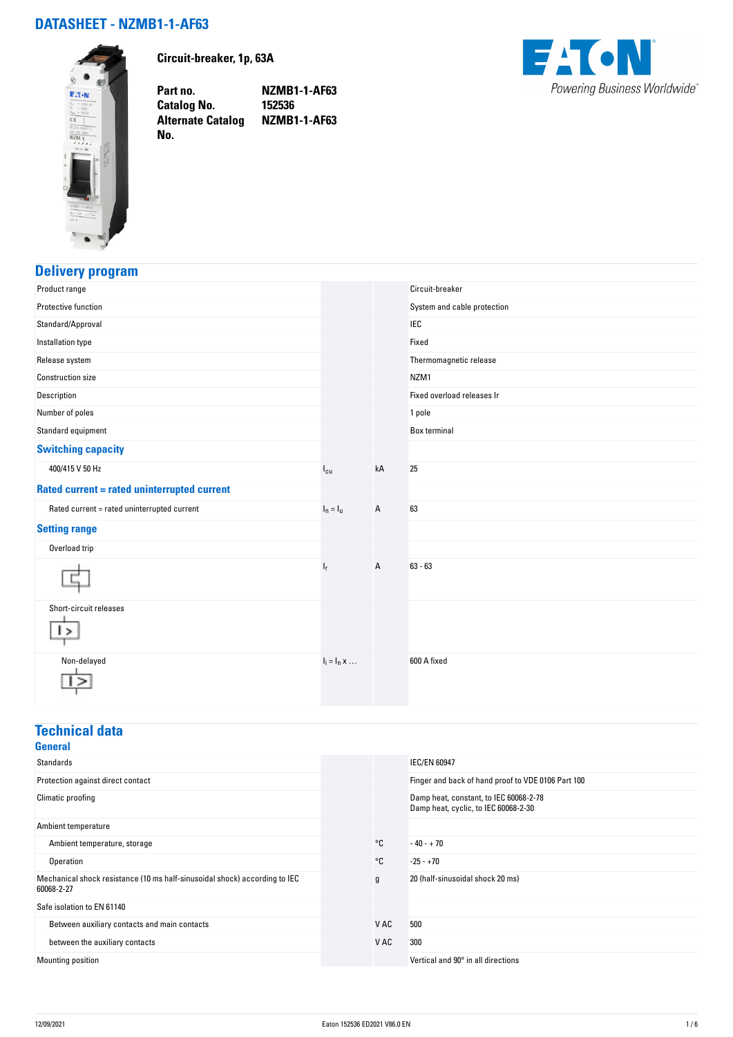## **DATASHEET - NZMB1-1-AF63**



**Circuit-breaker, 1p, 63A**

**Part no. NZMB1-1-AF63 Catalog No. 152536 Alternate Catalog NZMB1-1-AF63 No.** 



## **Delivery program**

| Product range                               |                     |    | Circuit-breaker             |
|---------------------------------------------|---------------------|----|-----------------------------|
| Protective function                         |                     |    | System and cable protection |
| Standard/Approval                           |                     |    | <b>IEC</b>                  |
| Installation type                           |                     |    | Fixed                       |
| Release system                              |                     |    | Thermomagnetic release      |
| <b>Construction size</b>                    |                     |    | NZM1                        |
| Description                                 |                     |    | Fixed overload releases Ir  |
| Number of poles                             |                     |    | 1 pole                      |
| Standard equipment                          |                     |    | Box terminal                |
| <b>Switching capacity</b>                   |                     |    |                             |
| 400/415 V 50 Hz                             | $I_{cu}$            | kA | 25                          |
| Rated current = rated uninterrupted current |                     |    |                             |
| Rated current = rated uninterrupted current | $I_n = I_u$         | A  | 63                          |
| <b>Setting range</b>                        |                     |    |                             |
| Overload trip                               |                     |    |                             |
|                                             | $I_{\rm r}$         | A  | $63 - 63$                   |
| Short-circuit releases<br>>                 |                     |    |                             |
| Non-delayed                                 | $I_i = I_n \times $ |    | 600 A fixed                 |

### **Technical data**

| <b>General</b>                                                                           |      |                                                                                |
|------------------------------------------------------------------------------------------|------|--------------------------------------------------------------------------------|
| <b>Standards</b>                                                                         |      | <b>IEC/EN 60947</b>                                                            |
| Protection against direct contact                                                        |      | Finger and back of hand proof to VDE 0106 Part 100                             |
| Climatic proofing                                                                        |      | Damp heat, constant, to IEC 60068-2-78<br>Damp heat, cyclic, to IEC 60068-2-30 |
| Ambient temperature                                                                      |      |                                                                                |
| Ambient temperature, storage                                                             | °C   | $-40 - +70$                                                                    |
| Operation                                                                                | °C   | $-25 - +70$                                                                    |
| Mechanical shock resistance (10 ms half-sinusoidal shock) according to IEC<br>60068-2-27 | g    | 20 (half-sinusoidal shock 20 ms)                                               |
| Safe isolation to EN 61140                                                               |      |                                                                                |
| Between auxiliary contacts and main contacts                                             | V AC | 500                                                                            |
| between the auxiliary contacts                                                           | V AC | 300                                                                            |
| Mounting position                                                                        |      | Vertical and 90° in all directions                                             |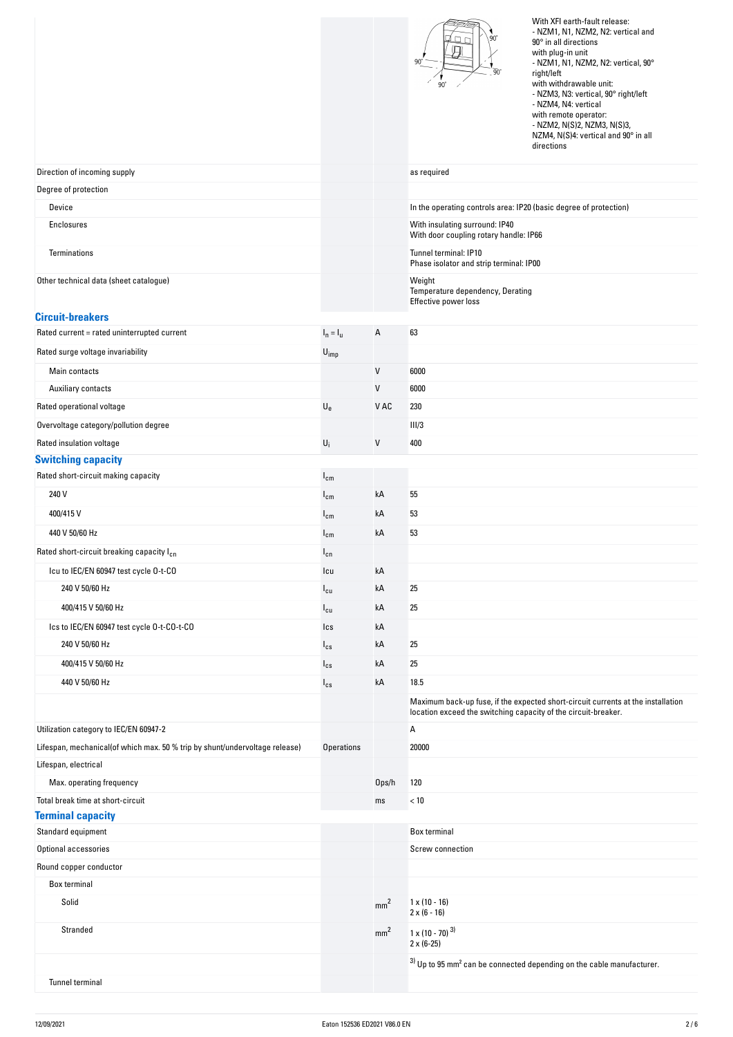|                                                                             |                           |                 | With XFI earth-fault release:<br>- NZM1, N1, NZM2, N2: vertical and<br>90<br>90° in all directions<br>with plug-in unit<br>- NZM1, N1, NZM2, N2: vertical, 90°<br>right/left<br>with withdrawable unit:<br>- NZM3, N3: vertical, 90° right/left<br>- NZM4, N4: vertical<br>with remote operator:<br>- NZM2, N(S)2, NZM3, N(S)3,<br>NZM4, N(S)4: vertical and 90° in all<br>directions |
|-----------------------------------------------------------------------------|---------------------------|-----------------|---------------------------------------------------------------------------------------------------------------------------------------------------------------------------------------------------------------------------------------------------------------------------------------------------------------------------------------------------------------------------------------|
| Direction of incoming supply                                                |                           |                 | as required                                                                                                                                                                                                                                                                                                                                                                           |
| Degree of protection                                                        |                           |                 |                                                                                                                                                                                                                                                                                                                                                                                       |
| Device                                                                      |                           |                 | In the operating controls area: IP20 (basic degree of protection)                                                                                                                                                                                                                                                                                                                     |
| Enclosures                                                                  |                           |                 | With insulating surround: IP40                                                                                                                                                                                                                                                                                                                                                        |
| Terminations                                                                |                           |                 | With door coupling rotary handle: IP66<br>Tunnel terminal: IP10<br>Phase isolator and strip terminal: IP00                                                                                                                                                                                                                                                                            |
| Other technical data (sheet catalogue)                                      |                           |                 | Weight                                                                                                                                                                                                                                                                                                                                                                                |
|                                                                             |                           |                 | Temperature dependency, Derating<br>Effective power loss                                                                                                                                                                                                                                                                                                                              |
| <b>Circuit-breakers</b>                                                     |                           |                 |                                                                                                                                                                                                                                                                                                                                                                                       |
| Rated current = rated uninterrupted current                                 | $I_n = I_u$               | А               | 63                                                                                                                                                                                                                                                                                                                                                                                    |
| Rated surge voltage invariability                                           | $U_{imp}$                 |                 |                                                                                                                                                                                                                                                                                                                                                                                       |
| Main contacts                                                               |                           | V               | 6000                                                                                                                                                                                                                                                                                                                                                                                  |
| Auxiliary contacts                                                          |                           | V               | 6000                                                                                                                                                                                                                                                                                                                                                                                  |
| Rated operational voltage                                                   | $\mathsf{U}_{\mathrm{e}}$ | V AC            | 230                                                                                                                                                                                                                                                                                                                                                                                   |
| Overvoltage category/pollution degree                                       |                           |                 | III/3                                                                                                                                                                                                                                                                                                                                                                                 |
| Rated insulation voltage                                                    | $\mathsf{U}_\mathsf{i}$   | V               | 400                                                                                                                                                                                                                                                                                                                                                                                   |
| <b>Switching capacity</b><br>Rated short-circuit making capacity            |                           |                 |                                                                                                                                                                                                                                                                                                                                                                                       |
|                                                                             | $I_{cm}$                  |                 |                                                                                                                                                                                                                                                                                                                                                                                       |
| 240 V                                                                       | $I_{cm}$                  | kA              | 55                                                                                                                                                                                                                                                                                                                                                                                    |
| 400/415V                                                                    | $I_{cm}$                  | kA              | 53                                                                                                                                                                                                                                                                                                                                                                                    |
| 440 V 50/60 Hz                                                              | $I_{cm}$                  | kA              | 53                                                                                                                                                                                                                                                                                                                                                                                    |
| Rated short-circuit breaking capacity I <sub>cn</sub>                       | $I_{cn}$                  |                 |                                                                                                                                                                                                                                                                                                                                                                                       |
| Icu to IEC/EN 60947 test cycle 0-t-CO                                       | Icu                       | kA              |                                                                                                                                                                                                                                                                                                                                                                                       |
| 240 V 50/60 Hz                                                              | $I_{cu}$                  | kA              | 25                                                                                                                                                                                                                                                                                                                                                                                    |
| 400/415 V 50/60 Hz                                                          | $I_{cu}$                  | kA              | 25                                                                                                                                                                                                                                                                                                                                                                                    |
| Ics to IEC/EN 60947 test cycle 0-t-C0-t-C0                                  | Ics                       | kA              |                                                                                                                                                                                                                                                                                                                                                                                       |
| 240 V 50/60 Hz                                                              | $I_{cs}$                  | kA              | 25                                                                                                                                                                                                                                                                                                                                                                                    |
| 400/415 V 50/60 Hz                                                          | $I_{cs}$                  | kA              | 25                                                                                                                                                                                                                                                                                                                                                                                    |
| 440 V 50/60 Hz                                                              | $I_{cs}$                  | kA              | 18.5                                                                                                                                                                                                                                                                                                                                                                                  |
| Utilization category to IEC/EN 60947-2                                      |                           |                 | Maximum back-up fuse, if the expected short-circuit currents at the installation<br>location exceed the switching capacity of the circuit-breaker.<br>A                                                                                                                                                                                                                               |
| Lifespan, mechanical(of which max. 50 % trip by shunt/undervoltage release) | <b>Operations</b>         |                 | 20000                                                                                                                                                                                                                                                                                                                                                                                 |
| Lifespan, electrical                                                        |                           |                 |                                                                                                                                                                                                                                                                                                                                                                                       |
| Max. operating frequency                                                    |                           | Ops/h           | 120                                                                                                                                                                                                                                                                                                                                                                                   |
| Total break time at short-circuit                                           |                           | ms              | < 10                                                                                                                                                                                                                                                                                                                                                                                  |
| <b>Terminal capacity</b>                                                    |                           |                 |                                                                                                                                                                                                                                                                                                                                                                                       |
| Standard equipment                                                          |                           |                 | <b>Box terminal</b>                                                                                                                                                                                                                                                                                                                                                                   |
| Optional accessories                                                        |                           |                 | Screw connection                                                                                                                                                                                                                                                                                                                                                                      |
| Round copper conductor                                                      |                           |                 |                                                                                                                                                                                                                                                                                                                                                                                       |
| Box terminal                                                                |                           |                 |                                                                                                                                                                                                                                                                                                                                                                                       |
| Solid                                                                       |                           | mm <sup>2</sup> | $1 \times (10 - 16)$<br>$2 \times (6 - 16)$                                                                                                                                                                                                                                                                                                                                           |
| Stranded                                                                    |                           | mm <sup>2</sup> | $1 \times (10 - 70)^{3}$<br>$2 \times (6-25)$                                                                                                                                                                                                                                                                                                                                         |
|                                                                             |                           |                 | $3)$ Up to 95 mm <sup>2</sup> can be connected depending on the cable manufacturer.                                                                                                                                                                                                                                                                                                   |
| Tunnel terminal                                                             |                           |                 |                                                                                                                                                                                                                                                                                                                                                                                       |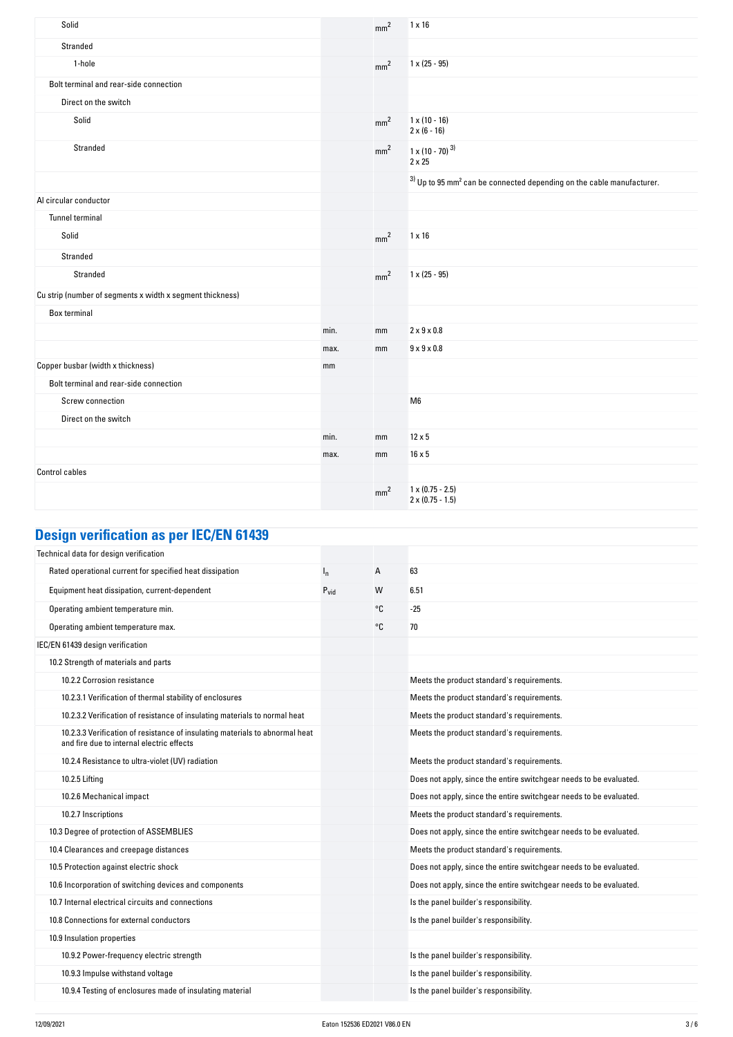| Solid                                                     |      | mm <sup>2</sup> | $1 \times 16$                                                                       |
|-----------------------------------------------------------|------|-----------------|-------------------------------------------------------------------------------------|
| Stranded                                                  |      |                 |                                                                                     |
| 1-hole                                                    |      | mm <sup>2</sup> | $1 \times (25 - 95)$                                                                |
| Bolt terminal and rear-side connection                    |      |                 |                                                                                     |
| Direct on the switch                                      |      |                 |                                                                                     |
| Solid                                                     |      | mm <sup>2</sup> | $1 \times (10 - 16)$<br>$2 \times (6 - 16)$                                         |
| Stranded                                                  |      | mm <sup>2</sup> | $1 \times (10 - 70)^{3}$<br>$2 \times 25$                                           |
|                                                           |      |                 | $3)$ Up to 95 mm <sup>2</sup> can be connected depending on the cable manufacturer. |
| Al circular conductor                                     |      |                 |                                                                                     |
| <b>Tunnel terminal</b>                                    |      |                 |                                                                                     |
| Solid                                                     |      | mm <sup>2</sup> | $1 \times 16$                                                                       |
| Stranded                                                  |      |                 |                                                                                     |
| Stranded                                                  |      | mm <sup>2</sup> | $1 \times (25 - 95)$                                                                |
| Cu strip (number of segments x width x segment thickness) |      |                 |                                                                                     |
| <b>Box terminal</b>                                       |      |                 |                                                                                     |
|                                                           | min. | mm              | $2 \times 9 \times 0.8$                                                             |
|                                                           | max. | mm              | $9 \times 9 \times 0.8$                                                             |
| Copper busbar (width x thickness)                         | mm   |                 |                                                                                     |
| Bolt terminal and rear-side connection                    |      |                 |                                                                                     |
| Screw connection                                          |      |                 | M <sub>6</sub>                                                                      |
| Direct on the switch                                      |      |                 |                                                                                     |
|                                                           | min. | mm              | $12 \times 5$                                                                       |
|                                                           | max. | mm              | $16 \times 5$                                                                       |
| <b>Control cables</b>                                     |      |                 |                                                                                     |
|                                                           |      | mm <sup>2</sup> | $1 \times (0.75 - 2.5)$<br>$2 \times (0.75 - 1.5)$                                  |

# **Design verification as per IEC/EN 61439**

| Technical data for design verification                                                                                    |                  |    |                                                                    |
|---------------------------------------------------------------------------------------------------------------------------|------------------|----|--------------------------------------------------------------------|
| Rated operational current for specified heat dissipation                                                                  | $I_{n}$          | А  | 63                                                                 |
| Equipment heat dissipation, current-dependent                                                                             | $P_{\text{vid}}$ | W  | 6.51                                                               |
| Operating ambient temperature min.                                                                                        |                  | °C | $-25$                                                              |
| Operating ambient temperature max.                                                                                        |                  | °C | 70                                                                 |
| IEC/EN 61439 design verification                                                                                          |                  |    |                                                                    |
| 10.2 Strength of materials and parts                                                                                      |                  |    |                                                                    |
| 10.2.2 Corrosion resistance                                                                                               |                  |    | Meets the product standard's requirements.                         |
| 10.2.3.1 Verification of thermal stability of enclosures                                                                  |                  |    | Meets the product standard's requirements.                         |
| 10.2.3.2 Verification of resistance of insulating materials to normal heat                                                |                  |    | Meets the product standard's requirements.                         |
| 10.2.3.3 Verification of resistance of insulating materials to abnormal heat<br>and fire due to internal electric effects |                  |    | Meets the product standard's requirements.                         |
| 10.2.4 Resistance to ultra-violet (UV) radiation                                                                          |                  |    | Meets the product standard's requirements.                         |
| 10.2.5 Lifting                                                                                                            |                  |    | Does not apply, since the entire switchgear needs to be evaluated. |
| 10.2.6 Mechanical impact                                                                                                  |                  |    | Does not apply, since the entire switchgear needs to be evaluated. |
| 10.2.7 Inscriptions                                                                                                       |                  |    | Meets the product standard's requirements.                         |
| 10.3 Degree of protection of ASSEMBLIES                                                                                   |                  |    | Does not apply, since the entire switchgear needs to be evaluated. |
| 10.4 Clearances and creepage distances                                                                                    |                  |    | Meets the product standard's requirements.                         |
| 10.5 Protection against electric shock                                                                                    |                  |    | Does not apply, since the entire switchgear needs to be evaluated. |
| 10.6 Incorporation of switching devices and components                                                                    |                  |    | Does not apply, since the entire switchgear needs to be evaluated. |
| 10.7 Internal electrical circuits and connections                                                                         |                  |    | Is the panel builder's responsibility.                             |
| 10.8 Connections for external conductors                                                                                  |                  |    | Is the panel builder's responsibility.                             |
| 10.9 Insulation properties                                                                                                |                  |    |                                                                    |
| 10.9.2 Power-frequency electric strength                                                                                  |                  |    | Is the panel builder's responsibility.                             |
| 10.9.3 Impulse withstand voltage                                                                                          |                  |    | Is the panel builder's responsibility.                             |
| 10.9.4 Testing of enclosures made of insulating material                                                                  |                  |    | Is the panel builder's responsibility.                             |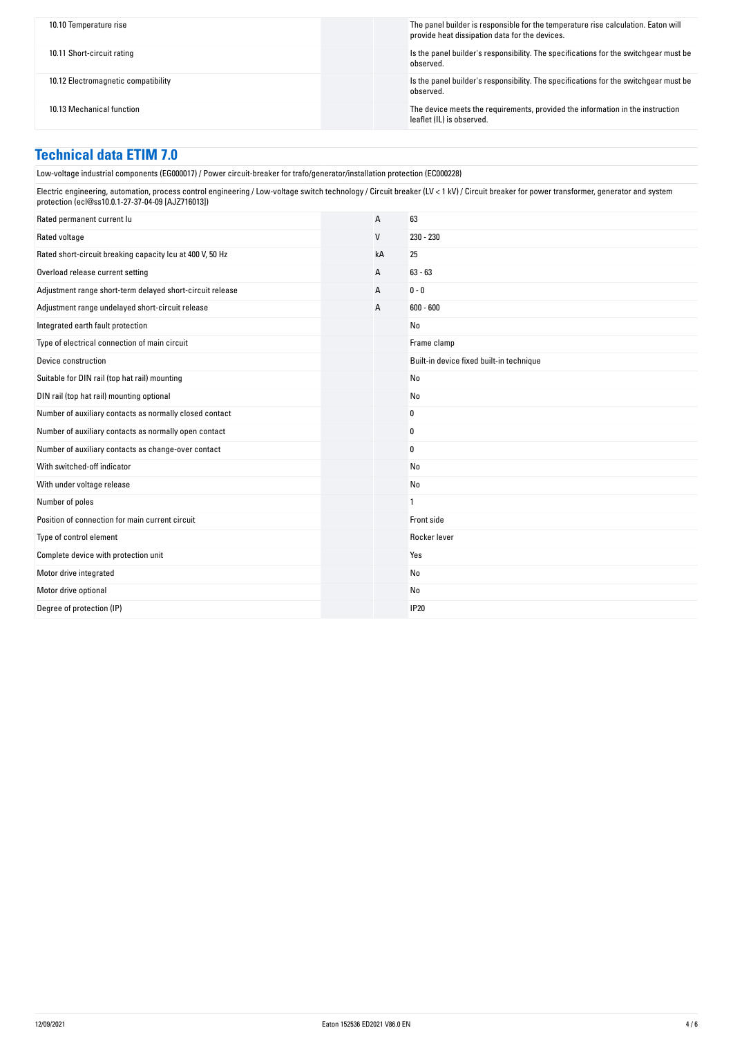| 10.10 Temperature rise              | The panel builder is responsible for the temperature rise calculation. Eaton will<br>provide heat dissipation data for the devices. |
|-------------------------------------|-------------------------------------------------------------------------------------------------------------------------------------|
| 10.11 Short-circuit rating          | Is the panel builder's responsibility. The specifications for the switchgear must be<br>observed.                                   |
| 10.12 Electromagnetic compatibility | Is the panel builder's responsibility. The specifications for the switchgear must be<br>observed.                                   |
| 10.13 Mechanical function           | The device meets the requirements, provided the information in the instruction<br>leaflet (IL) is observed.                         |

#### **Technical data ETIM 7.0**

Low-voltage industrial components (EG000017) / Power circuit-breaker for trafo/generator/installation protection (EC000228)

Electric engineering, automation, process control engineering / Low-voltage switch technology / Circuit breaker (LV < 1 kV) / Circuit breaker for power transformer, generator and system protection (ecl@ss10.0.1-27-37-04-09 [AJZ716013])

| Rated permanent current lu                                | A            | 63                                       |
|-----------------------------------------------------------|--------------|------------------------------------------|
| Rated voltage                                             | $\mathsf{V}$ | 230 - 230                                |
| Rated short-circuit breaking capacity Icu at 400 V, 50 Hz | kA           | 25                                       |
| Overload release current setting                          | A            | $63 - 63$                                |
| Adjustment range short-term delayed short-circuit release | A            | $0 - 0$                                  |
| Adjustment range undelayed short-circuit release          | A            | $600 - 600$                              |
| Integrated earth fault protection                         |              | No                                       |
| Type of electrical connection of main circuit             |              | Frame clamp                              |
| Device construction                                       |              | Built-in device fixed built-in technique |
| Suitable for DIN rail (top hat rail) mounting             |              | No                                       |
| DIN rail (top hat rail) mounting optional                 |              | No                                       |
| Number of auxiliary contacts as normally closed contact   |              | 0                                        |
| Number of auxiliary contacts as normally open contact     |              | 0                                        |
| Number of auxiliary contacts as change-over contact       |              | 0                                        |
| With switched-off indicator                               |              | No                                       |
| With under voltage release                                |              | No                                       |
| Number of poles                                           |              | $\mathbf{1}$                             |
| Position of connection for main current circuit           |              | Front side                               |
| Type of control element                                   |              | Rocker lever                             |
| Complete device with protection unit                      |              | Yes                                      |
| Motor drive integrated                                    |              | No                                       |
| Motor drive optional                                      |              | <b>No</b>                                |
| Degree of protection (IP)                                 |              | <b>IP20</b>                              |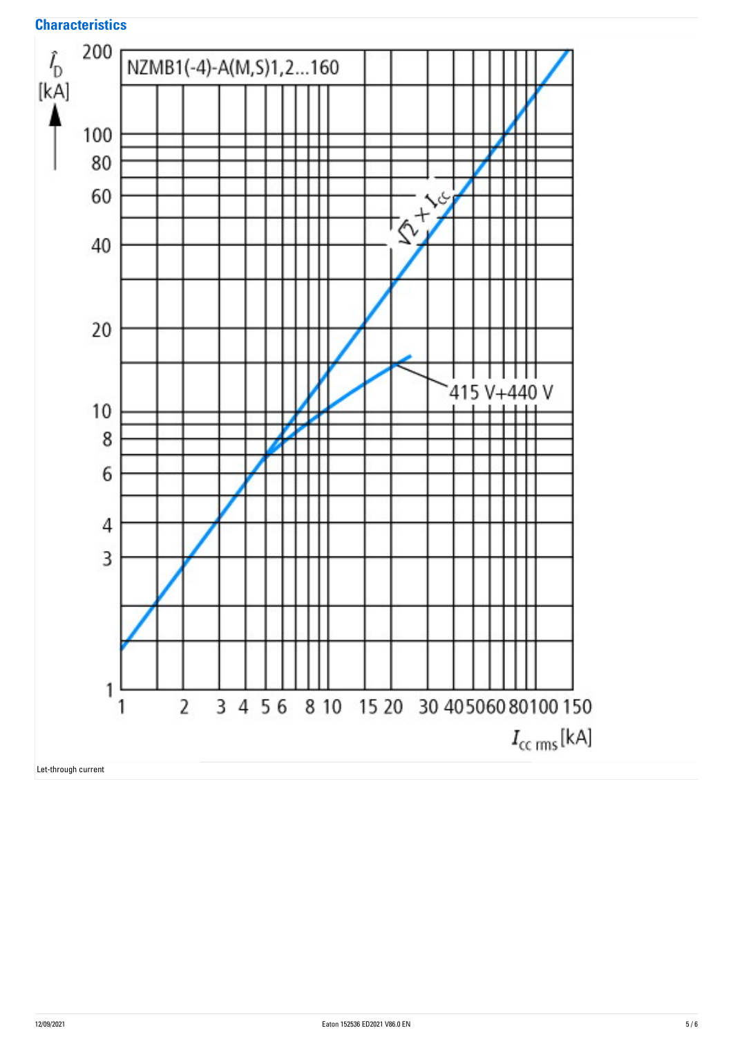